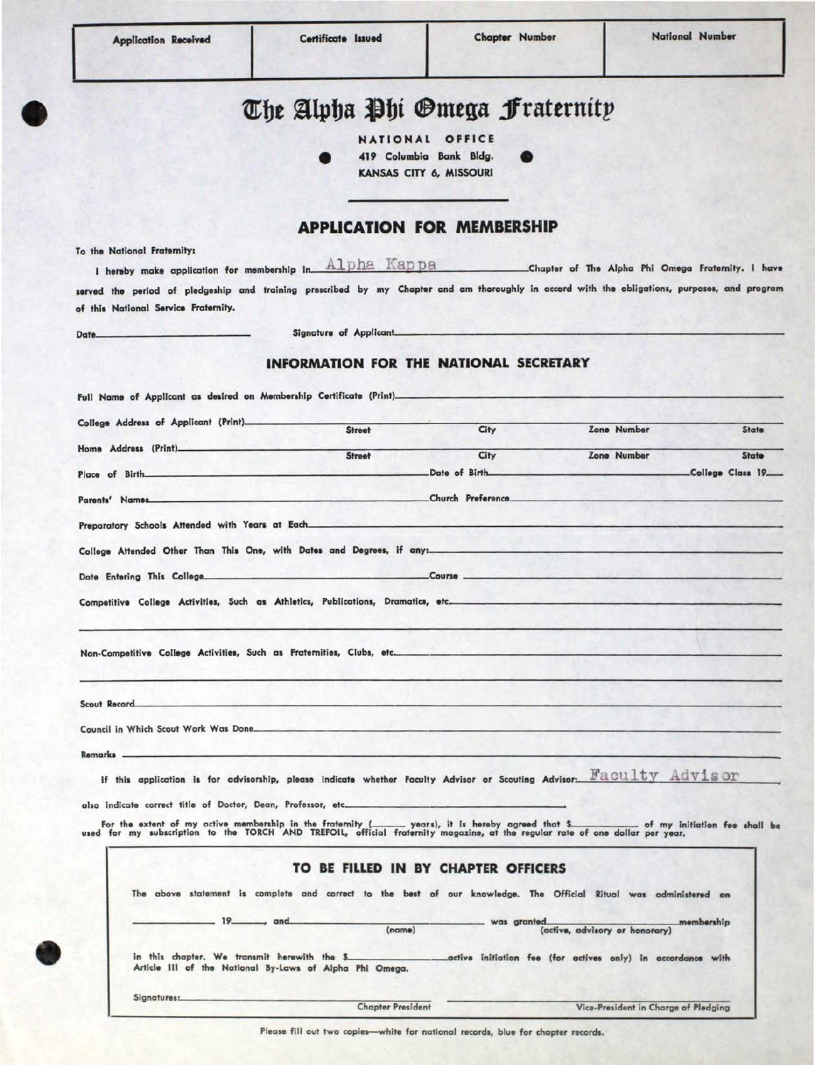# The Alpha Phi Omega fraternity



### APPLICATION FOR MEMBERSHIP

To the National Fraternltys

I hereby make application for membership in Alpha Kappa Chapter of The Alpha Phi Omega Fraternity. I have served the period of pledgeship and training prescribed by my Chapter and am thoroughly in accord with the obligations, purposes, and program of this National Service Fraternity.

Date------------ Signature af Applicant

#### INFORMATION FOR THE NATIONAL SECRETARY

|                                                                                                                                                                                                                                                                                                       | College Address of Applicant (Print)_______________<br><b>Street</b> | City                                | Zone Number | State                         |
|-------------------------------------------------------------------------------------------------------------------------------------------------------------------------------------------------------------------------------------------------------------------------------------------------------|----------------------------------------------------------------------|-------------------------------------|-------------|-------------------------------|
|                                                                                                                                                                                                                                                                                                       |                                                                      |                                     |             |                               |
|                                                                                                                                                                                                                                                                                                       | <b>Street</b>                                                        | City                                | Zone Number | State                         |
| Place of Birth College Class 19.                                                                                                                                                                                                                                                                      |                                                                      |                                     |             |                               |
| Parents' Names Church Preference                                                                                                                                                                                                                                                                      |                                                                      |                                     |             |                               |
| Preparatory Schools Attended with Years at Each experience of the contract of the contract of the contract of the contract of the contract of the contract of the contract of the contract of the contract of the contract of                                                                         |                                                                      |                                     |             |                               |
| College Attended Other Than This One, with Dates and Degrees, if anys. The contract of the contract of the College of the College of the College of the College of the College of the College of the College of the College of                                                                        |                                                                      |                                     |             |                               |
| Date Entering This College. Course                                                                                                                                                                                                                                                                    |                                                                      |                                     |             |                               |
|                                                                                                                                                                                                                                                                                                       |                                                                      |                                     |             |                               |
| Non-Competitive College Activities, Such as Fraternities, Clubs, etc. The competitive College Activities, Such as Fraternities, Clubs, etc.                                                                                                                                                           |                                                                      |                                     |             |                               |
|                                                                                                                                                                                                                                                                                                       |                                                                      |                                     |             |                               |
|                                                                                                                                                                                                                                                                                                       |                                                                      |                                     |             |                               |
| n Language de l'antique de la companyation de la companyation de la companyation de la companyation de la comp                                                                                                                                                                                        |                                                                      |                                     |             |                               |
| If this application is for advisorship, please indicate whether Faculty Advisor or Scouting Advisor. FACULTY AdVISOT                                                                                                                                                                                  |                                                                      |                                     |             |                               |
| Scout Record<br>Council in Which Scout Work Was Done<br>Remarks<br>For the extent of my active membership in the fraternity (_______ years), it is hereby agreed that \$______________ of my in<br>used for my subscription to the TORCH AND TREFOIL, official fraternity magazine, at the regular ra |                                                                      |                                     |             | of my initiation fee shall be |
|                                                                                                                                                                                                                                                                                                       |                                                                      | TO BE FILLED IN BY CHAPTER OFFICERS |             |                               |
| The above statement is complete and correct to the best of our knowledge. The Official Ritual was administered on                                                                                                                                                                                     |                                                                      |                                     |             |                               |

| The above statement is complete                                                                         |        | and correct to the best of our knowledge. The Official          |                                | Ritual was administered on |
|---------------------------------------------------------------------------------------------------------|--------|-----------------------------------------------------------------|--------------------------------|----------------------------|
| $19$ and                                                                                                | (name) | was granted                                                     | (active, advisory or honorary) | membership                 |
|                                                                                                         |        |                                                                 |                                |                            |
| in this chapter. We transmit herewith the \$<br>Article III of the National By-Laws of Alpha Phi Omega. |        | ____active initiation fee (for actives only) in accordance with |                                |                            |

Please fill out two copies-white for national records, blue for chapter records.